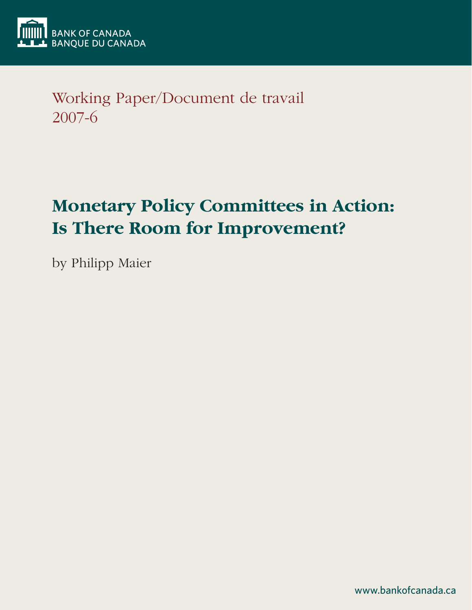

Working Paper/Document de travail 2007-6

# **Monetary Policy Committees in Action: Is There Room for Improvement?**

by Philipp Maier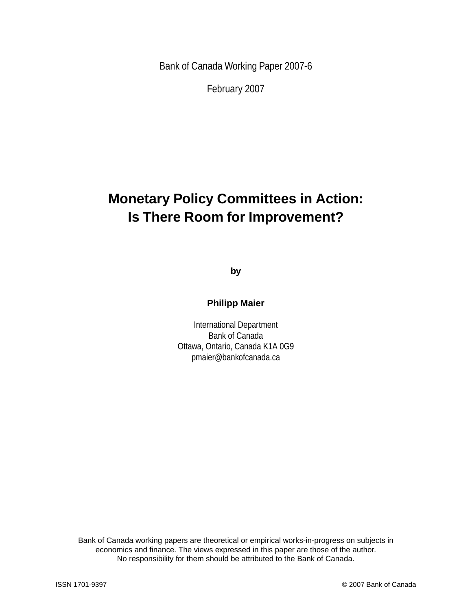Bank of Canada Working Paper 2007-6

February 2007

# **Monetary Policy Committees in Action: Is There Room for Improvement?**

**by**

**Philipp Maier**

International Department Bank of Canada Ottawa, Ontario, Canada K1A 0G9 pmaier@bankofcanada.ca

Bank of Canada working papers are theoretical or empirical works-in-progress on subjects in economics and finance. The views expressed in this paper are those of the author. No responsibility for them should be attributed to the Bank of Canada.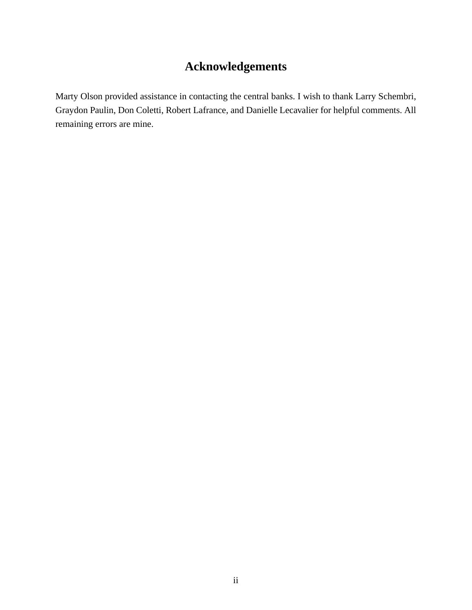# **Acknowledgements**

Marty Olson provided assistance in contacting the central banks. I wish to thank Larry Schembri, Graydon Paulin, Don Coletti, Robert Lafrance, and Danielle Lecavalier for helpful comments. All remaining errors are mine.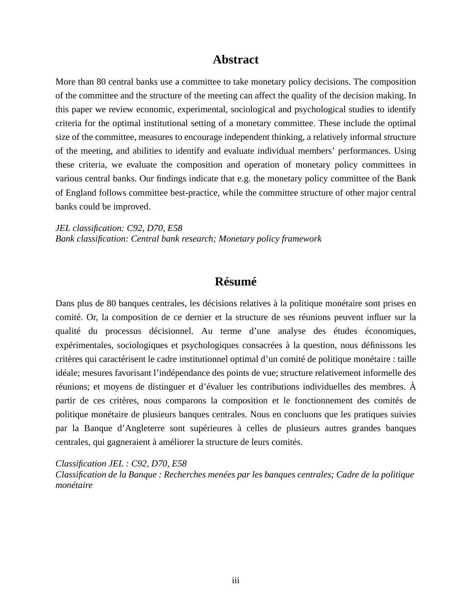# **Abstract**

More than 80 central banks use a committee to take monetary policy decisions. The composition of the committee and the structure of the meeting can affect the quality of the decision making. In this paper we review economic, experimental, sociological and psychological studies to identify criteria for the optimal institutional setting of a monetary committee. These include the optimal size of the committee, measures to encourage independent thinking, a relatively informal structure of the meeting, and abilities to identify and evaluate individual members' performances. Using these criteria, we evaluate the composition and operation of monetary policy committees in various central banks. Our findings indicate that e.g. the monetary policy committee of the Bank of England follows committee best-practice, while the committee structure of other major central banks could be improved.

*JEL classification: C92, D70, E58 Bank classification: Central bank research; Monetary policy framework*

# **Résumé**

Dans plus de 80 banques centrales, les décisions relatives à la politique monétaire sont prises en comité. Or, la composition de ce dernier et la structure de ses réunions peuvent influer sur la qualité du processus décisionnel. Au terme d'une analyse des études économiques, expérimentales, sociologiques et psychologiques consacrées à la question, nous définissons les critères qui caractérisent le cadre institutionnel optimal d'un comité de politique monétaire : taille idéale; mesures favorisant l'indépendance des points de vue; structure relativement informelle des réunions; et moyens de distinguer et d'évaluer les contributions individuelles des membres. À partir de ces critères, nous comparons la composition et le fonctionnement des comités de politique monétaire de plusieurs banques centrales. Nous en concluons que les pratiques suivies par la Banque d'Angleterre sont supérieures à celles de plusieurs autres grandes banques centrales, qui gagneraient à améliorer la structure de leurs comités.

*Classification JEL : C92, D70, E58*

*Classification de la Banque : Recherches menées par les banques centrales; Cadre de la politique monétaire*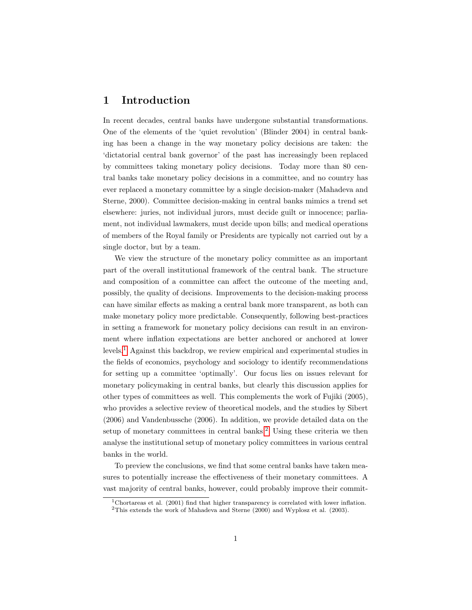# 1 Introduction

In recent decades, central banks have undergone substantial transformations. One of the elements of the 'quiet revolution' (Blinder 2004) in central banking has been a change in the way monetary policy decisions are taken: the 'dictatorial central bank governor' of the past has increasingly been replaced by committees taking monetary policy decisions. Today more than 80 central banks take monetary policy decisions in a committee, and no country has ever replaced a monetary committee by a single decision-maker (Mahadeva and Sterne, 2000). Committee decision-making in central banks mimics a trend set elsewhere: juries, not individual jurors, must decide guilt or innocence; parliament, not individual lawmakers, must decide upon bills; and medical operations of members of the Royal family or Presidents are typically not carried out by a single doctor, but by a team.

We view the structure of the monetary policy committee as an important part of the overall institutional framework of the central bank. The structure and composition of a committee can affect the outcome of the meeting and, possibly, the quality of decisions. Improvements to the decision-making process can have similar effects as making a central bank more transparent, as both can make monetary policy more predictable. Consequently, following best-practices in setting a framework for monetary policy decisions can result in an environment where inflation expectations are better anchored or anchored at lower levels.[1](#page-4-0) Against this backdrop, we review empirical and experimental studies in the fields of economics, psychology and sociology to identify recommendations for setting up a committee 'optimally'. Our focus lies on issues relevant for monetary policymaking in central banks, but clearly this discussion applies for other types of committees as well. This complements the work of Fujiki (2005), who provides a selective review of theoretical models, and the studies by Sibert (2006) and Vandenbussche (2006). In addition, we provide detailed data on the setup of monetary committees in central banks.<sup>[2](#page-4-1)</sup> Using these criteria we then analyse the institutional setup of monetary policy committees in various central banks in the world.

To preview the conclusions, we find that some central banks have taken measures to potentially increase the effectiveness of their monetary committees. A vast majority of central banks, however, could probably improve their commit-

<span id="page-4-0"></span><sup>&</sup>lt;sup>1</sup>Chortareas et al. (2001) find that higher transparency is correlated with lower inflation.

<span id="page-4-1"></span><sup>2</sup>This extends the work of Mahadeva and Sterne (2000) and Wyplosz et al. (2003).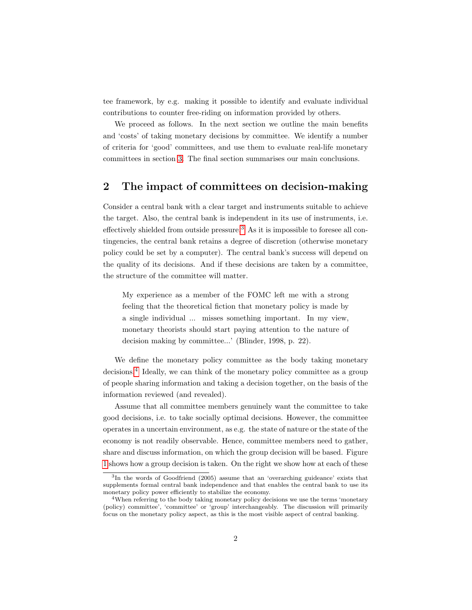tee framework, by e.g. making it possible to identify and evaluate individual contributions to counter free-riding on information provided by others.

We proceed as follows. In the next section we outline the main benefits and 'costs' of taking monetary decisions by committee. We identify a number of criteria for 'good' committees, and use them to evaluate real-life monetary committees in section [3.](#page-17-0) The final section summarises our main conclusions.

## 2 The impact of committees on decision-making

Consider a central bank with a clear target and instruments suitable to achieve the target. Also, the central bank is independent in its use of instruments, i.e. effectively shielded from outside pressure.[3](#page-5-0) As it is impossible to foresee all contingencies, the central bank retains a degree of discretion (otherwise monetary policy could be set by a computer). The central bank's success will depend on the quality of its decisions. And if these decisions are taken by a committee, the structure of the committee will matter.

My experience as a member of the FOMC left me with a strong feeling that the theoretical fiction that monetary policy is made by a single individual ... misses something important. In my view, monetary theorists should start paying attention to the nature of decision making by committee...' (Blinder, 1998, p. 22).

We define the monetary policy committee as the body taking monetary decisions.[4](#page-5-1) Ideally, we can think of the monetary policy committee as a group of people sharing information and taking a decision together, on the basis of the information reviewed (and revealed).

Assume that all committee members genuinely want the committee to take good decisions, i.e. to take socially optimal decisions. However, the committee operates in a uncertain environment, as e.g. the state of nature or the state of the economy is not readily observable. Hence, committee members need to gather, share and discuss information, on which the group decision will be based. Figure [1](#page-6-0) shows how a group decision is taken. On the right we show how at each of these

<span id="page-5-0"></span><sup>3</sup> In the words of Goodfriend (2005) assume that an 'overarching guideance' exists that supplements formal central bank independence and that enables the central bank to use its monetary policy power efficiently to stabilize the economy.

<span id="page-5-1"></span><sup>&</sup>lt;sup>4</sup>When referring to the body taking monetary policy decisions we use the terms 'monetary (policy) committee', 'committee' or 'group' interchangeably. The discussion will primarily focus on the monetary policy aspect, as this is the most visible aspect of central banking.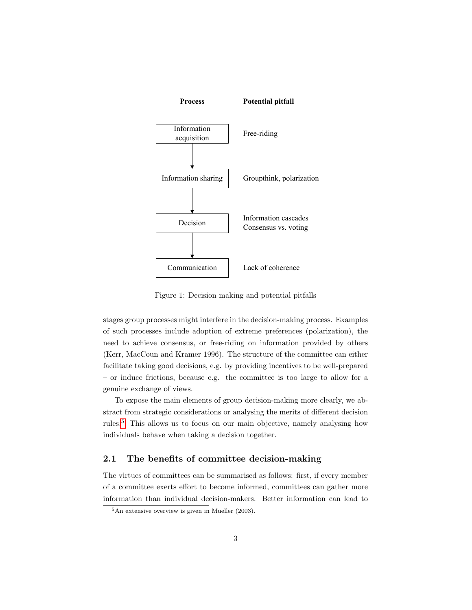

<span id="page-6-0"></span>Figure 1: Decision making and potential pitfalls

stages group processes might interfere in the decision-making process. Examples of such processes include adoption of extreme preferences (polarization), the need to achieve consensus, or free-riding on information provided by others (Kerr, MacCoun and Kramer 1996). The structure of the committee can either facilitate taking good decisions, e.g. by providing incentives to be well-prepared – or induce frictions, because e.g. the committee is too large to allow for a genuine exchange of views.

To expose the main elements of group decision-making more clearly, we abstract from strategic considerations or analysing the merits of different decision rules.[5](#page-6-1) This allows us to focus on our main objective, namely analysing how individuals behave when taking a decision together.

### 2.1 The benefits of committee decision-making

The virtues of committees can be summarised as follows: first, if every member of a committee exerts effort to become informed, committees can gather more information than individual decision-makers. Better information can lead to

<span id="page-6-1"></span> ${}^{5}$ An extensive overview is given in Mueller (2003).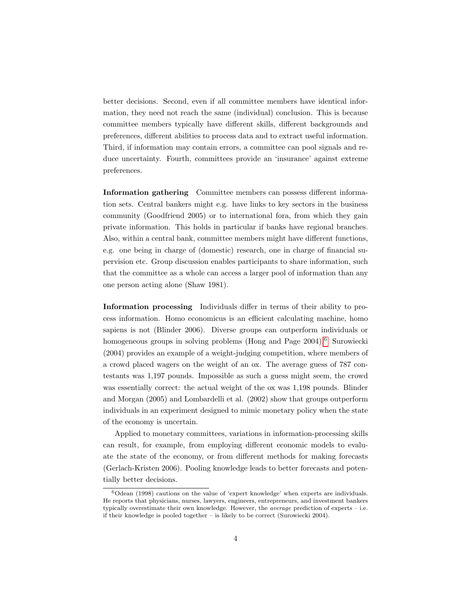better decisions. Second, even if all committee members have identical information, they need not reach the same (individual) conclusion. This is because committee members typically have different skills, different backgrounds and preferences, different abilities to process data and to extract useful information. Third, if information may contain errors, a committee can pool signals and reduce uncertainty. Fourth, committees provide an 'insurance' against extreme preferences.

Information gathering Committee members can possess different information sets. Central bankers might e.g. have links to key sectors in the business community (Goodfriend 2005) or to international fora, from which they gain private information. This holds in particular if banks have regional branches. Also, within a central bank, committee members might have different functions, e.g. one being in charge of (domestic) research, one in charge of financial supervision etc. Group discussion enables participants to share information, such that the committee as a whole can access a larger pool of information than any one person acting alone (Shaw 1981).

Information processing Individuals differ in terms of their ability to process information. Homo economicus is an efficient calculating machine, homo sapiens is not (Blinder 2006). Diverse groups can outperform individuals or homogeneous groups in solving problems (Hong and Page 2004).<sup>[6](#page-7-0)</sup> Surowiecki (2004) provides an example of a weight-judging competition, where members of a crowd placed wagers on the weight of an ox. The average guess of 787 contestants was 1,197 pounds. Impossible as such a guess might seem, the crowd was essentially correct: the actual weight of the ox was 1,198 pounds. Blinder and Morgan (2005) and Lombardelli et al. (2002) show that groups outperform individuals in an experiment designed to mimic monetary policy when the state of the economy is uncertain.

Applied to monetary committees, variations in information-processing skills can result, for example, from employing different economic models to evaluate the state of the economy, or from different methods for making forecasts (Gerlach-Kristen 2006). Pooling knowledge leads to better forecasts and potentially better decisions.

<span id="page-7-0"></span> $6$ Odean (1998) cautions on the value of 'expert knowledge' when experts are individuals. He reports that physicians, nurses, lawyers, engineers, entrepreneurs, and investment bankers typically overestimate their own knowledge. However, the *average* prediction of experts – i.e. if their knowledge is pooled together – is likely to be correct (Surowiecki 2004).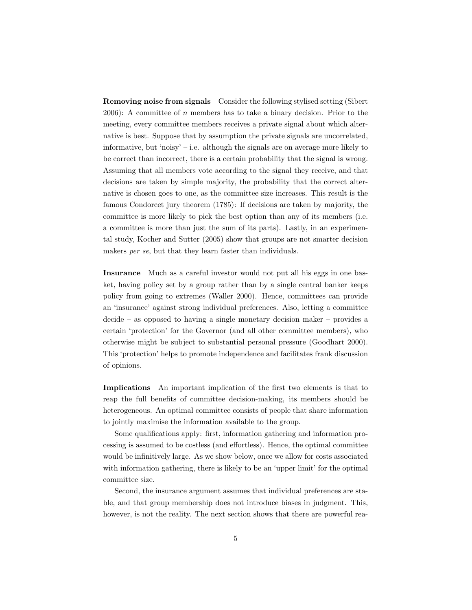Removing noise from signals Consider the following stylised setting (Sibert  $2006$ : A committee of *n* members has to take a binary decision. Prior to the meeting, every committee members receives a private signal about which alternative is best. Suppose that by assumption the private signals are uncorrelated, informative, but 'noisy' – i.e. although the signals are on average more likely to be correct than incorrect, there is a certain probability that the signal is wrong. Assuming that all members vote according to the signal they receive, and that decisions are taken by simple majority, the probability that the correct alternative is chosen goes to one, as the committee size increases. This result is the famous Condorcet jury theorem (1785): If decisions are taken by majority, the committee is more likely to pick the best option than any of its members (i.e. a committee is more than just the sum of its parts). Lastly, in an experimental study, Kocher and Sutter (2005) show that groups are not smarter decision makers *per se*, but that they learn faster than individuals.

Insurance Much as a careful investor would not put all his eggs in one basket, having policy set by a group rather than by a single central banker keeps policy from going to extremes (Waller 2000). Hence, committees can provide an 'insurance' against strong individual preferences. Also, letting a committee decide – as opposed to having a single monetary decision maker – provides a certain 'protection' for the Governor (and all other committee members), who otherwise might be subject to substantial personal pressure (Goodhart 2000). This 'protection' helps to promote independence and facilitates frank discussion of opinions.

Implications An important implication of the first two elements is that to reap the full benefits of committee decision-making, its members should be heterogeneous. An optimal committee consists of people that share information to jointly maximise the information available to the group.

Some qualifications apply: first, information gathering and information processing is assumed to be costless (and effortless). Hence, the optimal committee would be infinitively large. As we show below, once we allow for costs associated with information gathering, there is likely to be an 'upper limit' for the optimal committee size.

Second, the insurance argument assumes that individual preferences are stable, and that group membership does not introduce biases in judgment. This, however, is not the reality. The next section shows that there are powerful rea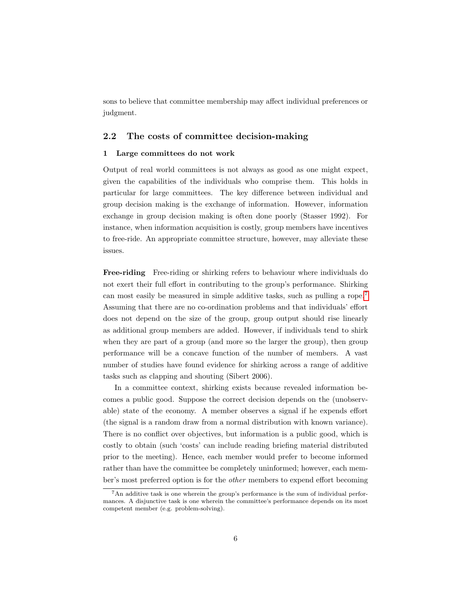sons to believe that committee membership may affect individual preferences or judgment.

#### 2.2 The costs of committee decision-making

#### 1 Large committees do not work

Output of real world committees is not always as good as one might expect, given the capabilities of the individuals who comprise them. This holds in particular for large committees. The key difference between individual and group decision making is the exchange of information. However, information exchange in group decision making is often done poorly (Stasser 1992). For instance, when information acquisition is costly, group members have incentives to free-ride. An appropriate committee structure, however, may alleviate these issues.

Free-riding Free-riding or shirking refers to behaviour where individuals do not exert their full effort in contributing to the group's performance. Shirking can most easily be measured in simple additive tasks, such as pulling a rope.[7](#page-9-0) Assuming that there are no co-ordination problems and that individuals' effort does not depend on the size of the group, group output should rise linearly as additional group members are added. However, if individuals tend to shirk when they are part of a group (and more so the larger the group), then group performance will be a concave function of the number of members. A vast number of studies have found evidence for shirking across a range of additive tasks such as clapping and shouting (Sibert 2006).

In a committee context, shirking exists because revealed information becomes a public good. Suppose the correct decision depends on the (unobservable) state of the economy. A member observes a signal if he expends effort (the signal is a random draw from a normal distribution with known variance). There is no conflict over objectives, but information is a public good, which is costly to obtain (such 'costs' can include reading briefing material distributed prior to the meeting). Hence, each member would prefer to become informed rather than have the committee be completely uninformed; however, each member's most preferred option is for the other members to expend effort becoming

<span id="page-9-0"></span><sup>7</sup>An additive task is one wherein the group's performance is the sum of individual performances. A disjunctive task is one wherein the committee's performance depends on its most competent member (e.g. problem-solving).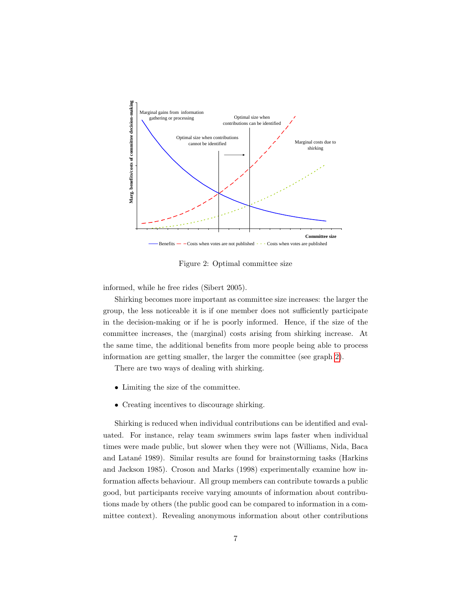

<span id="page-10-0"></span>Figure 2: Optimal committee size

informed, while he free rides (Sibert 2005).

Shirking becomes more important as committee size increases: the larger the group, the less noticeable it is if one member does not sufficiently participate in the decision-making or if he is poorly informed. Hence, if the size of the committee increases, the (marginal) costs arising from shirking increase. At the same time, the additional benefits from more people being able to process information are getting smaller, the larger the committee (see graph [2\)](#page-10-0).

There are two ways of dealing with shirking.

- Limiting the size of the committee.
- Creating incentives to discourage shirking.

Shirking is reduced when individual contributions can be identified and evaluated. For instance, relay team swimmers swim laps faster when individual times were made public, but slower when they were not (Williams, Nida, Baca and Latan´e 1989). Similar results are found for brainstorming tasks (Harkins and Jackson 1985). Croson and Marks (1998) experimentally examine how information affects behaviour. All group members can contribute towards a public good, but participants receive varying amounts of information about contributions made by others (the public good can be compared to information in a committee context). Revealing anonymous information about other contributions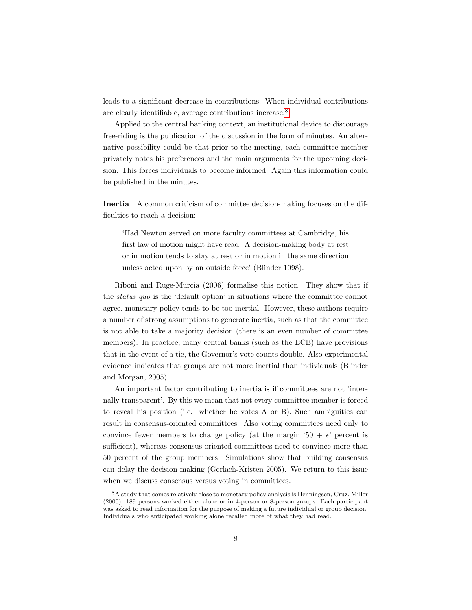leads to a significant decrease in contributions. When individual contributions are clearly identifiable, average contributions increase.[8](#page-11-0)

Applied to the central banking context, an institutional device to discourage free-riding is the publication of the discussion in the form of minutes. An alternative possibility could be that prior to the meeting, each committee member privately notes his preferences and the main arguments for the upcoming decision. This forces individuals to become informed. Again this information could be published in the minutes.

Inertia A common criticism of committee decision-making focuses on the difficulties to reach a decision:

'Had Newton served on more faculty committees at Cambridge, his first law of motion might have read: A decision-making body at rest or in motion tends to stay at rest or in motion in the same direction unless acted upon by an outside force' (Blinder 1998).

Riboni and Ruge-Murcia (2006) formalise this notion. They show that if the status quo is the 'default option' in situations where the committee cannot agree, monetary policy tends to be too inertial. However, these authors require a number of strong assumptions to generate inertia, such as that the committee is not able to take a majority decision (there is an even number of committee members). In practice, many central banks (such as the ECB) have provisions that in the event of a tie, the Governor's vote counts double. Also experimental evidence indicates that groups are not more inertial than individuals (Blinder and Morgan, 2005).

An important factor contributing to inertia is if committees are not 'internally transparent'. By this we mean that not every committee member is forced to reveal his position (i.e. whether he votes A or B). Such ambiguities can result in consensus-oriented committees. Also voting committees need only to convince fewer members to change policy (at the margin '50 +  $\epsilon$ ' percent is sufficient), whereas consensus-oriented committees need to convince more than 50 percent of the group members. Simulations show that building consensus can delay the decision making (Gerlach-Kristen 2005). We return to this issue when we discuss consensus versus voting in committees.

<span id="page-11-0"></span><sup>8</sup>A study that comes relatively close to monetary policy analysis is Henningsen, Cruz, Miller (2000): 189 persons worked either alone or in 4-person or 8-person groups. Each participant was asked to read information for the purpose of making a future individual or group decision. Individuals who anticipated working alone recalled more of what they had read.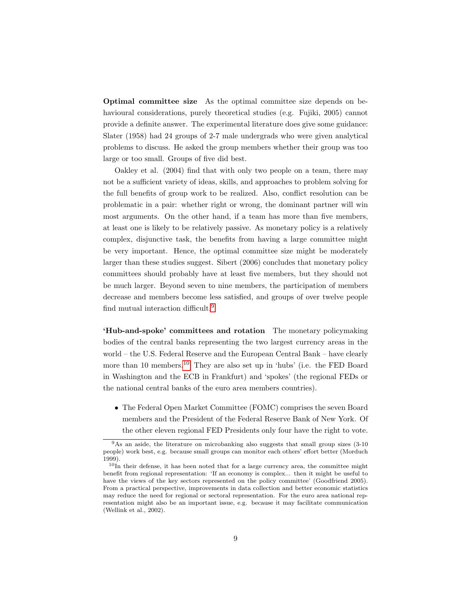Optimal committee size As the optimal committee size depends on behavioural considerations, purely theoretical studies (e.g. Fujiki, 2005) cannot provide a definite answer. The experimental literature does give some guidance: Slater (1958) had 24 groups of 2-7 male undergrads who were given analytical problems to discuss. He asked the group members whether their group was too large or too small. Groups of five did best.

Oakley et al. (2004) find that with only two people on a team, there may not be a sufficient variety of ideas, skills, and approaches to problem solving for the full benefits of group work to be realized. Also, conflict resolution can be problematic in a pair: whether right or wrong, the dominant partner will win most arguments. On the other hand, if a team has more than five members, at least one is likely to be relatively passive. As monetary policy is a relatively complex, disjunctive task, the benefits from having a large committee might be very important. Hence, the optimal committee size might be moderately larger than these studies suggest. Sibert (2006) concludes that monetary policy committees should probably have at least five members, but they should not be much larger. Beyond seven to nine members, the participation of members decrease and members become less satisfied, and groups of over twelve people find mutual interaction difficult.[9](#page-12-0)

'Hub-and-spoke' committees and rotation The monetary policymaking bodies of the central banks representing the two largest currency areas in the world – the U.S. Federal Reserve and the European Central Bank – have clearly more than [10](#page-12-1) members.<sup>10</sup> They are also set up in 'hubs' (i.e. the FED Board in Washington and the ECB in Frankfurt) and 'spokes' (the regional FEDs or the national central banks of the euro area members countries).

• The Federal Open Market Committee (FOMC) comprises the seven Board members and the President of the Federal Reserve Bank of New York. Of the other eleven regional FED Presidents only four have the right to vote.

<span id="page-12-0"></span><sup>&</sup>lt;sup>9</sup>As an aside, the literature on microbanking also suggests that small group sizes (3-10 people) work best, e.g. because small groups can monitor each others' effort better (Morduch 1999).

<span id="page-12-1"></span> $10$ In their defense, it has been noted that for a large currency area, the committee might benefit from regional representation: 'If an economy is complex... then it might be useful to have the views of the key sectors represented on the policy committee' (Goodfriend 2005). From a practical perspective, improvements in data collection and better economic statistics may reduce the need for regional or sectoral representation. For the euro area national representation might also be an important issue, e.g. because it may facilitate communication (Wellink et al., 2002).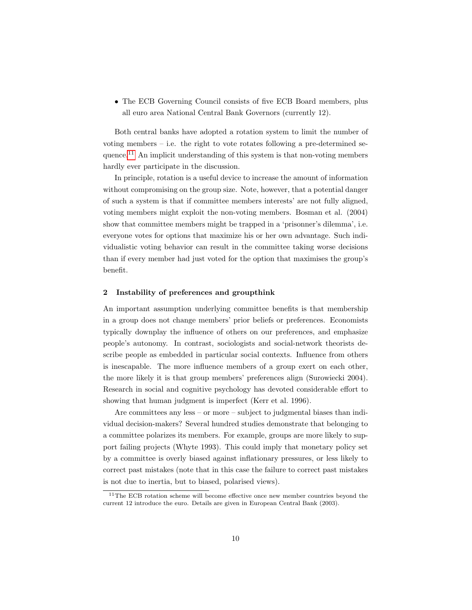• The ECB Governing Council consists of five ECB Board members, plus all euro area National Central Bank Governors (currently 12).

Both central banks have adopted a rotation system to limit the number of voting members – i.e. the right to vote rotates following a pre-determined sequence.[11](#page-13-0) An implicit understanding of this system is that non-voting members hardly ever participate in the discussion.

In principle, rotation is a useful device to increase the amount of information without compromising on the group size. Note, however, that a potential danger of such a system is that if committee members interests' are not fully aligned, voting members might exploit the non-voting members. Bosman et al. (2004) show that committee members might be trapped in a 'prisonner's dilemma', i.e. everyone votes for options that maximize his or her own advantage. Such individualistic voting behavior can result in the committee taking worse decisions than if every member had just voted for the option that maximises the group's benefit.

#### 2 Instability of preferences and groupthink

An important assumption underlying committee benefits is that membership in a group does not change members' prior beliefs or preferences. Economists typically downplay the influence of others on our preferences, and emphasize people's autonomy. In contrast, sociologists and social-network theorists describe people as embedded in particular social contexts. Influence from others is inescapable. The more influence members of a group exert on each other, the more likely it is that group members' preferences align (Surowiecki 2004). Research in social and cognitive psychology has devoted considerable effort to showing that human judgment is imperfect (Kerr et al. 1996).

Are committees any less – or more – subject to judgmental biases than individual decision-makers? Several hundred studies demonstrate that belonging to a committee polarizes its members. For example, groups are more likely to support failing projects (Whyte 1993). This could imply that monetary policy set by a committee is overly biased against inflationary pressures, or less likely to correct past mistakes (note that in this case the failure to correct past mistakes is not due to inertia, but to biased, polarised views).

<span id="page-13-0"></span><sup>&</sup>lt;sup>11</sup>The ECB rotation scheme will become effective once new member countries beyond the current 12 introduce the euro. Details are given in European Central Bank (2003).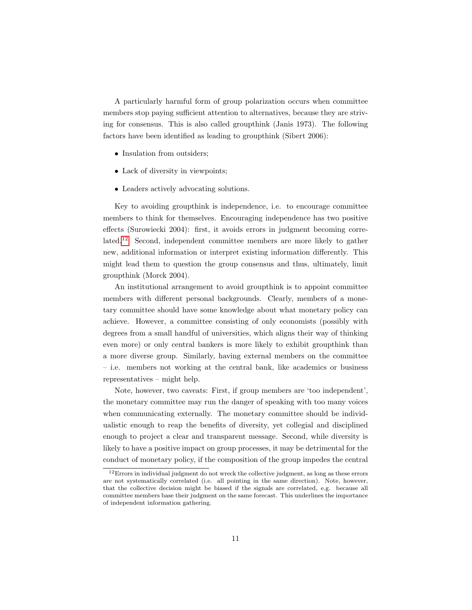A particularly harmful form of group polarization occurs when committee members stop paying sufficient attention to alternatives, because they are striving for consensus. This is also called groupthink (Janis 1973). The following factors have been identified as leading to groupthink (Sibert 2006):

- Insulation from outsiders;
- Lack of diversity in viewpoints;
- Leaders actively advocating solutions.

Key to avoiding groupthink is independence, i.e. to encourage committee members to think for themselves. Encouraging independence has two positive effects (Surowiecki 2004): first, it avoids errors in judgment becoming correlated.[12](#page-14-0) Second, independent committee members are more likely to gather new, additional information or interpret existing information differently. This might lead them to question the group consensus and thus, ultimately, limit groupthink (Morck 2004).

An institutional arrangement to avoid groupthink is to appoint committee members with different personal backgrounds. Clearly, members of a monetary committee should have some knowledge about what monetary policy can achieve. However, a committee consisting of only economists (possibly with degrees from a small handful of universities, which aligns their way of thinking even more) or only central bankers is more likely to exhibit groupthink than a more diverse group. Similarly, having external members on the committee – i.e. members not working at the central bank, like academics or business representatives – might help.

Note, however, two caveats: First, if group members are 'too independent', the monetary committee may run the danger of speaking with too many voices when communicating externally. The monetary committee should be individualistic enough to reap the benefits of diversity, yet collegial and disciplined enough to project a clear and transparent message. Second, while diversity is likely to have a positive impact on group processes, it may be detrimental for the conduct of monetary policy, if the composition of the group impedes the central

<span id="page-14-0"></span> $12$ Errors in individual judgment do not wreck the collective judgment, as long as these errors are not systematically correlated (i.e. all pointing in the same direction). Note, however, that the collective decision might be biased if the signals are correlated, e.g. because all committee members base their judgment on the same forecast. This underlines the importance of independent information gathering.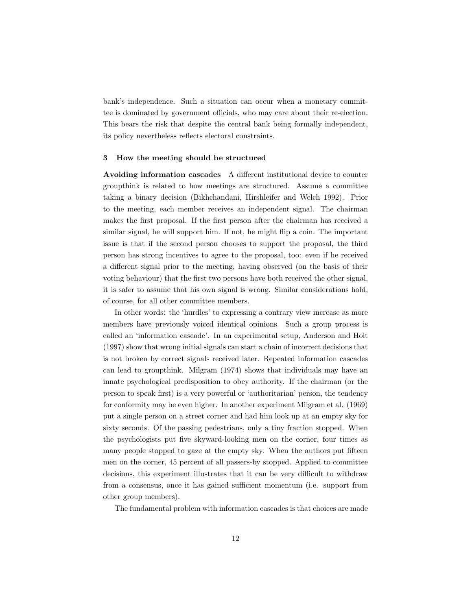bank's independence. Such a situation can occur when a monetary committee is dominated by government officials, who may care about their re-election. This bears the risk that despite the central bank being formally independent, its policy nevertheless reflects electoral constraints.

#### 3 How the meeting should be structured

Avoiding information cascades A different institutional device to counter groupthink is related to how meetings are structured. Assume a committee taking a binary decision (Bikhchandani, Hirshleifer and Welch 1992). Prior to the meeting, each member receives an independent signal. The chairman makes the first proposal. If the first person after the chairman has received a similar signal, he will support him. If not, he might flip a coin. The important issue is that if the second person chooses to support the proposal, the third person has strong incentives to agree to the proposal, too: even if he received a different signal prior to the meeting, having observed (on the basis of their voting behaviour) that the first two persons have both received the other signal, it is safer to assume that his own signal is wrong. Similar considerations hold, of course, for all other committee members.

In other words: the 'hurdles' to expressing a contrary view increase as more members have previously voiced identical opinions. Such a group process is called an 'information cascade'. In an experimental setup, Anderson and Holt (1997) show that wrong initial signals can start a chain of incorrect decisions that is not broken by correct signals received later. Repeated information cascades can lead to groupthink. Milgram (1974) shows that individuals may have an innate psychological predisposition to obey authority. If the chairman (or the person to speak first) is a very powerful or 'authoritarian' person, the tendency for conformity may be even higher. In another experiment Milgram et al. (1969) put a single person on a street corner and had him look up at an empty sky for sixty seconds. Of the passing pedestrians, only a tiny fraction stopped. When the psychologists put five skyward-looking men on the corner, four times as many people stopped to gaze at the empty sky. When the authors put fifteen men on the corner, 45 percent of all passers-by stopped. Applied to committee decisions, this experiment illustrates that it can be very difficult to withdraw from a consensus, once it has gained sufficient momentum (i.e. support from other group members).

The fundamental problem with information cascades is that choices are made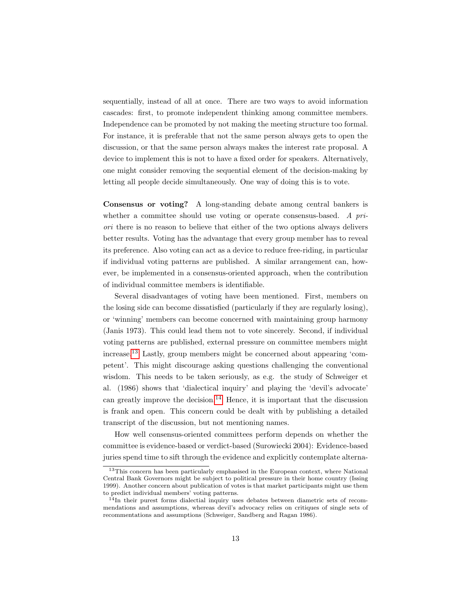sequentially, instead of all at once. There are two ways to avoid information cascades: first, to promote independent thinking among committee members. Independence can be promoted by not making the meeting structure too formal. For instance, it is preferable that not the same person always gets to open the discussion, or that the same person always makes the interest rate proposal. A device to implement this is not to have a fixed order for speakers. Alternatively, one might consider removing the sequential element of the decision-making by letting all people decide simultaneously. One way of doing this is to vote.

Consensus or voting? A long-standing debate among central bankers is whether a committee should use voting or operate consensus-based. A priori there is no reason to believe that either of the two options always delivers better results. Voting has the advantage that every group member has to reveal its preference. Also voting can act as a device to reduce free-riding, in particular if individual voting patterns are published. A similar arrangement can, however, be implemented in a consensus-oriented approach, when the contribution of individual committee members is identifiable.

Several disadvantages of voting have been mentioned. First, members on the losing side can become dissatisfied (particularly if they are regularly losing), or 'winning' members can become concerned with maintaining group harmony (Janis 1973). This could lead them not to vote sincerely. Second, if individual voting patterns are published, external pressure on committee members might increase.[13](#page-16-0) Lastly, group members might be concerned about appearing 'competent'. This might discourage asking questions challenging the conventional wisdom. This needs to be taken seriously, as e.g. the study of Schweiger et al. (1986) shows that 'dialectical inquiry' and playing the 'devil's advocate' can greatly improve the decision.<sup>[14](#page-16-1)</sup> Hence, it is important that the discussion is frank and open. This concern could be dealt with by publishing a detailed transcript of the discussion, but not mentioning names.

How well consensus-oriented committees perform depends on whether the committee is evidence-based or verdict-based (Surowiecki 2004): Evidence-based juries spend time to sift through the evidence and explicitly contemplate alterna-

<span id="page-16-0"></span><sup>&</sup>lt;sup>13</sup>This concern has been particularly emphasised in the European context, where National Central Bank Governors might be subject to political pressure in their home country (Issing 1999). Another concern about publication of votes is that market participants might use them to predict individual members' voting patterns.

<span id="page-16-1"></span> $14$ In their purest forms dialectial inquiry uses debates between diametric sets of recommendations and assumptions, whereas devil's advocacy relies on critiques of single sets of recommentations and assumptions (Schweiger, Sandberg and Ragan 1986).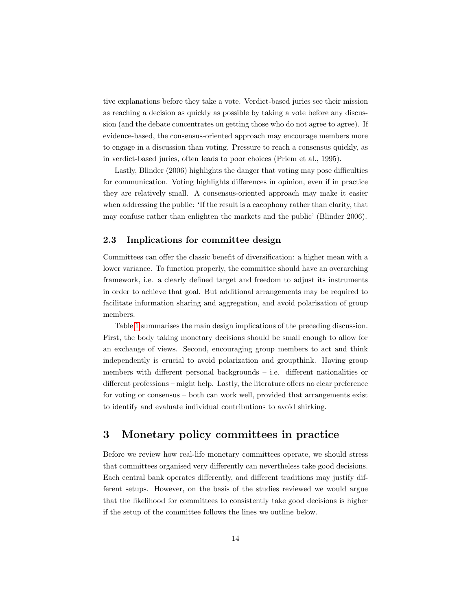tive explanations before they take a vote. Verdict-based juries see their mission as reaching a decision as quickly as possible by taking a vote before any discussion (and the debate concentrates on getting those who do not agree to agree). If evidence-based, the consensus-oriented approach may encourage members more to engage in a discussion than voting. Pressure to reach a consensus quickly, as in verdict-based juries, often leads to poor choices (Priem et al., 1995).

Lastly, Blinder (2006) highlights the danger that voting may pose difficulties for communication. Voting highlights differences in opinion, even if in practice they are relatively small. A consensus-oriented approach may make it easier when addressing the public: 'If the result is a cacophony rather than clarity, that may confuse rather than enlighten the markets and the public' (Blinder 2006).

#### 2.3 Implications for committee design

Committees can offer the classic benefit of diversification: a higher mean with a lower variance. To function properly, the committee should have an overarching framework, i.e. a clearly defined target and freedom to adjust its instruments in order to achieve that goal. But additional arrangements may be required to facilitate information sharing and aggregation, and avoid polarisation of group members.

Table [1](#page-18-0) summarises the main design implications of the preceding discussion. First, the body taking monetary decisions should be small enough to allow for an exchange of views. Second, encouraging group members to act and think independently is crucial to avoid polarization and groupthink. Having group members with different personal backgrounds – i.e. different nationalities or different professions – might help. Lastly, the literature offers no clear preference for voting or consensus – both can work well, provided that arrangements exist to identify and evaluate individual contributions to avoid shirking.

# <span id="page-17-0"></span>3 Monetary policy committees in practice

Before we review how real-life monetary committees operate, we should stress that committees organised very differently can nevertheless take good decisions. Each central bank operates differently, and different traditions may justify different setups. However, on the basis of the studies reviewed we would argue that the likelihood for committees to consistently take good decisions is higher if the setup of the committee follows the lines we outline below.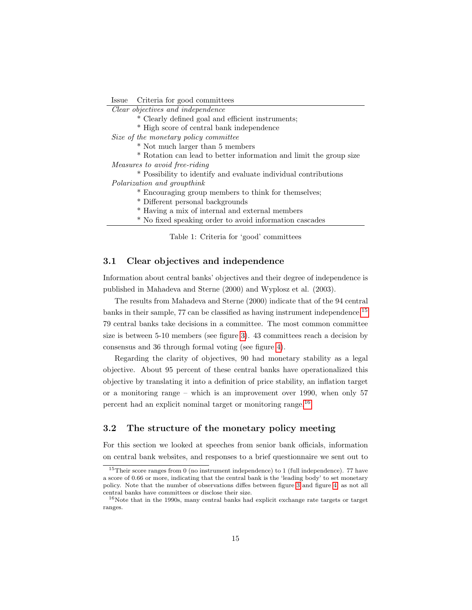Issue Criteria for good committees

Clear objectives and independence

- \* Clearly defined goal and efficient instruments;
- \* High score of central bank independence

Size of the monetary policy committee

- \* Not much larger than 5 members
- \* Rotation can lead to better information and limit the group size

Measures to avoid free-riding

\* Possibility to identify and evaluate individual contributions Polarization and groupthink

- \* Encouraging group members to think for themselves;
- \* Different personal backgrounds
- \* Having a mix of internal and external members
- \* No fixed speaking order to avoid information cascades

<span id="page-18-0"></span>Table 1: Criteria for 'good' committees

#### 3.1 Clear objectives and independence

Information about central banks' objectives and their degree of independence is published in Mahadeva and Sterne (2000) and Wyplosz et al. (2003).

The results from Mahadeva and Sterne (2000) indicate that of the 94 central banks in their sample, 77 can be classified as having instrument independence.[15](#page-18-1) 79 central banks take decisions in a committee. The most common committee size is between 5-10 members (see figure [3\)](#page-19-0). 43 committees reach a decision by consensus and 36 through formal voting (see figure [4\)](#page-19-1).

Regarding the clarity of objectives, 90 had monetary stability as a legal objective. About 95 percent of these central banks have operationalized this objective by translating it into a definition of price stability, an inflation target or a monitoring range – which is an improvement over 1990, when only 57 percent had an explicit nominal target or monitoring range.[16](#page-18-2)

### 3.2 The structure of the monetary policy meeting

For this section we looked at speeches from senior bank officials, information on central bank websites, and responses to a brief questionnaire we sent out to

<span id="page-18-1"></span> $15$ Their score ranges from 0 (no instrument independence) to 1 (full independence). 77 have a score of 0.66 or more, indicating that the central bank is the 'leading body' to set monetary policy. Note that the number of observations diffes between figure [3](#page-19-0) and figure [4,](#page-19-1) as not all central banks have committees or disclose their size.

<span id="page-18-2"></span> $16$ Note that in the 1990s, many central banks had explicit exchange rate targets or target ranges.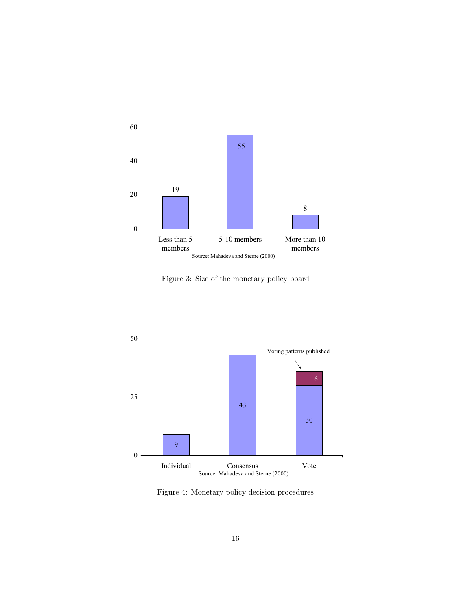

<span id="page-19-0"></span>Figure 3: Size of the monetary policy board



<span id="page-19-1"></span>Figure 4: Monetary policy decision procedures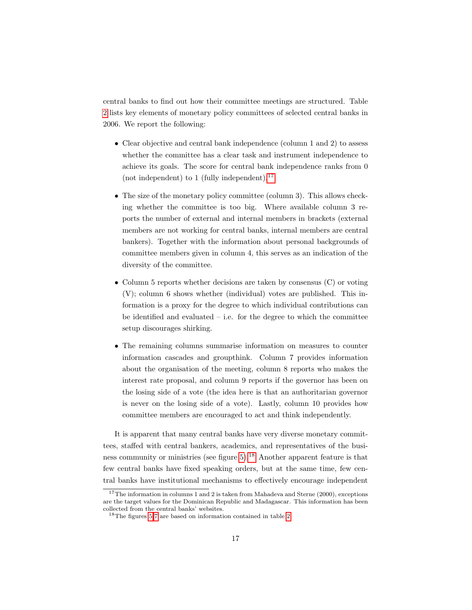central banks to find out how their committee meetings are structured. Table [2](#page-21-0) lists key elements of monetary policy committees of selected central banks in 2006. We report the following:

- Clear objective and central bank independence (column 1 and 2) to assess whether the committee has a clear task and instrument independence to achieve its goals. The score for central bank independence ranks from 0 (not independent) to 1 (fully independent). $^{17}$  $^{17}$  $^{17}$
- The size of the monetary policy committee (column 3). This allows checking whether the committee is too big. Where available column 3 reports the number of external and internal members in brackets (external members are not working for central banks, internal members are central bankers). Together with the information about personal backgrounds of committee members given in column 4, this serves as an indication of the diversity of the committee.
- Column 5 reports whether decisions are taken by consensus (C) or voting (V); column 6 shows whether (individual) votes are published. This information is a proxy for the degree to which individual contributions can be identified and evaluated  $-$  i.e. for the degree to which the committee setup discourages shirking.
- The remaining columns summarise information on measures to counter information cascades and groupthink. Column 7 provides information about the organisation of the meeting, column 8 reports who makes the interest rate proposal, and column 9 reports if the governor has been on the losing side of a vote (the idea here is that an authoritarian governor is never on the losing side of a vote). Lastly, column 10 provides how committee members are encouraged to act and think independently.

It is apparent that many central banks have very diverse monetary committees, staffed with central bankers, academics, and representatives of the business community or ministries (see figure  $5$ ).<sup>[18](#page-20-1)</sup> Another apparent feature is that few central banks have fixed speaking orders, but at the same time, few central banks have institutional mechanisms to effectively encourage independent

<span id="page-20-0"></span><sup>&</sup>lt;sup>17</sup>The information in columns 1 and 2 is taken from Mahadeva and Sterne  $(2000)$ , exceptions are the target values for the Dominican Republic and Madagascar. This information has been collected from the central banks' websites.

<span id="page-20-1"></span> $^{18}{\rm The}$  figures [5-](#page-25-0)[7](#page-26-0) are based on information contained in table [2.](#page-21-0)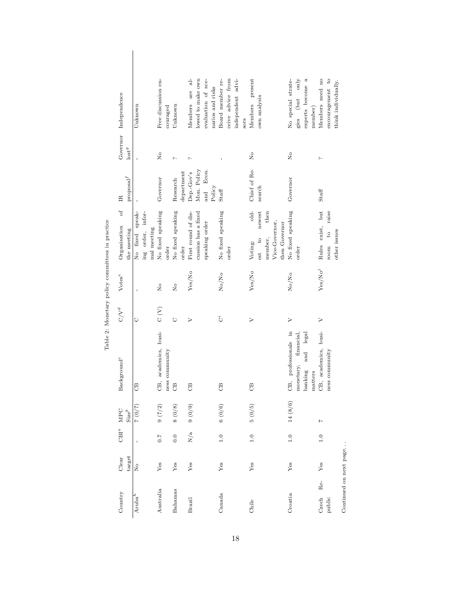|                                                                                       |                                                     |                                        |                            | $\frac{1}{6}$                              |                                        |                   |                                        |      |                   |                                                                        |                                                                                   |                                                                     |                        |
|---------------------------------------------------------------------------------------|-----------------------------------------------------|----------------------------------------|----------------------------|--------------------------------------------|----------------------------------------|-------------------|----------------------------------------|------|-------------------|------------------------------------------------------------------------|-----------------------------------------------------------------------------------|---------------------------------------------------------------------|------------------------|
| Governor Independence                                                                 | Unknown                                             | Free discussion en-<br>couraged        | Unknown                    | lowed to make own<br>Members are           | evaluation of sce-<br>narios and risks | Board member re-  | ceive advice from<br>independent advi- | sors | Members present   | own analysis                                                           | No special strate-<br>only<br>experts become a<br>gies (but<br>member)            | Members need no<br>encouragement to<br>think individually.          |                        |
| $_{\mathrm{lost}}^g$                                                                  |                                                     | $\frac{1}{2}$                          | $\sim$                     | $\sim$                                     |                                        |                   |                                        |      | $_{\rm N_o}$      |                                                                        | $\frac{1}{2}$                                                                     | ب                                                                   |                        |
| $\ensuremath{\mathsf{prop}}\xspace\ensuremath{\mathsf{sal}}\xspace^f$<br>$\mathbb{E}$ |                                                     | Governor                               | department<br>Research     | Mon. Policy<br>Dep.-Gov's                  | Econ.<br>Policy<br>and                 | Staff             |                                        |      | Chief of Re-      | search                                                                 | Governor                                                                          | Staff                                                               |                        |
| $\sigma$<br>Organisation<br>the meeting                                               | No fixed speak-<br>ing order, infor-<br>mal meeting | No fixed speaking<br>order             | No fixed speaking<br>order | cussion has a fixed<br>First round of dis- | speaking order                         | No fixed speaking | order                                  |      | $dd -$<br>Voting: | newest<br>then<br>Vice-Governor,<br>then Governor<br>nember,<br>est to | No fixed speaking<br>order                                                        | Rules exist, but<br>raise<br>other issues<br>$\overline{c}$<br>room |                        |
| Votes <sup>e</sup>                                                                    |                                                     | $\mathsf{R}^{\circ}$                   | $\overline{R}$             | Yes/No                                     |                                        | No/No             |                                        |      | Yes/No            |                                                                        | No/No                                                                             | ${\rm Yes}/{\rm No}^j$                                              |                        |
| $C/V^d$                                                                               | O                                                   | $\sum_{i=1}^{n}$                       | Õ                          | $\triangleright$                           |                                        | ت                 |                                        |      | $\triangleright$  |                                                                        | $\geq$                                                                            | $\geq$                                                              |                        |
| Background <sup>c</sup>                                                               | පී                                                  | CB, academics, busi-<br>ness community | B                          | <b>B</b>                                   |                                        | B                 |                                        |      | B                 |                                                                        | CB, professionals in<br>and legal<br>financial<br>monetary,<br>banking<br>matters | CB, academics, busi-<br>ness community                              |                        |
| MPC<br>$Size^b$                                                                       | $(2/0)$ $2$                                         | 9(7/2)                                 | 8(0/8)                     | 9(0/9)                                     |                                        | 6(0/6)            |                                        |      | 5(0/5)            |                                                                        | 14 (8/6)                                                                          | $\overline{1}$                                                      |                        |
| $CBI^a$                                                                               |                                                     | $\overline{C}$ . $\overline{C}$        | 0.0                        | N/a                                        |                                        | 1.0               |                                        |      | 1.0               |                                                                        | 1.0                                                                               | $\frac{0}{1}$                                                       |                        |
| target<br>Clear                                                                       | å                                                   | Yes                                    | $\rm Yes$                  | Yes                                        |                                        | Yes               |                                        |      | Yes               |                                                                        | Yes                                                                               | Yes                                                                 |                        |
| Country                                                                               | $Aruba^h$                                           | Australia                              | Bahamas                    | Brazil                                     |                                        | Canada            |                                        |      | Chile             |                                                                        | Croatia                                                                           | $Re-$<br>Czech<br>public                                            | Continued on next page |

Table 2: Monetary policy committees in practice Table 2: Monetary policy committees in practice

<span id="page-21-0"></span>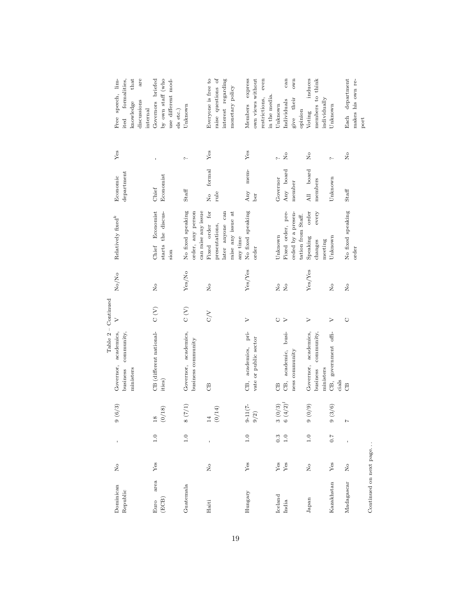|              |                         |                                 |                 |                                 | $Table 2 - Continue$ |                      |                           |                         |             |                       |
|--------------|-------------------------|---------------------------------|-----------------|---------------------------------|----------------------|----------------------|---------------------------|-------------------------|-------------|-----------------------|
| Dominican    | $\frac{1}{2}$           | Ï                               | 9(6/3)          | academics,<br>Governor,         | $\triangleright$     | No/No                | Relatively fixed $\sp{k}$ | Economic                | Yes         | speech, lim-<br>Free  |
| Republic     |                         |                                 |                 | community,<br>business          |                      |                      |                           | $d$ epartment           |             | formalities,<br>ited  |
|              |                         |                                 |                 | ministers                       |                      |                      |                           |                         |             | that<br>knowledge     |
|              |                         |                                 |                 |                                 |                      |                      |                           |                         |             | are<br>discussions    |
|              |                         |                                 |                 |                                 |                      |                      |                           |                         |             | internal              |
| area<br>Euro | Yes                     | $\overline{1}$ .0               | $\frac{8}{2}$   | CB (different national-         | $\sum_{i=1}^{n}$     | $\overline{R}$       | Economist<br>Chief        | Chief                   |             | Governors briefed     |
| (ECB)        |                         |                                 | (0/18)          | ities)                          |                      |                      | starts the discus-        | Economist               |             | by own staff (who     |
|              |                         |                                 |                 |                                 |                      |                      | sion                      |                         |             | use different mod-    |
|              |                         |                                 |                 |                                 |                      |                      |                           |                         |             | els etc.)             |
| Guatemala    |                         | $\frac{0}{1}$                   | 8(7/1)          | Governor, academics,            | $\rm _C$ (V)         | Yes/No               | No fixed speaking         | Staff                   | ς.          | Unknown               |
|              |                         |                                 |                 | business community              |                      |                      | order, any person         |                         |             |                       |
|              |                         |                                 |                 |                                 |                      |                      | can raise any issue       |                         |             |                       |
| Haiti        | $\frac{1}{2}$           | ï                               | $\overline{14}$ | $\mathcal{B}$                   | $\frac{2}{\sqrt{2}}$ | $\frac{1}{2}$        | for<br>Fixed order        | formal<br>$\frac{1}{2}$ | Yes         | Everyone is free to   |
|              |                         |                                 | (0/14)          |                                 |                      |                      | presentations,            | rule                    |             | raise questions of    |
|              |                         |                                 |                 |                                 |                      |                      | later anyone can          |                         |             | interest regarding    |
|              |                         |                                 |                 |                                 |                      |                      | raise any issue at        |                         |             | monetary policy       |
|              |                         |                                 |                 |                                 |                      |                      | any time                  |                         |             |                       |
| Hungary      | Yes                     | 1.0                             | $9 - 11(7 -$    | CB, academics, pri-             | $\geq$               | Yes/Yes              | No fixed speaking         | mem-<br>Any             | Yes         | Members express       |
|              |                         |                                 | $9/2)$          | vate or public sector           |                      |                      | order                     | ber                     |             | own views without     |
|              |                         |                                 |                 |                                 |                      |                      |                           |                         |             | even<br>restrictions, |
|              |                         |                                 |                 |                                 |                      |                      |                           |                         |             | in the media.         |
| Iceland      | $_{\rm Yes}$            | $0.\overline{3}$                | 3(0/3)          | $\mathcal{L}$                   | O                    | $\frac{1}{2}$        | Unknown                   | Governor                | $\sim$      | Unknown               |
| India        | Yes                     | 1.0                             | $6(4/2)^l$      | academic, busi-<br>巴.           | $\geq$               | $\overline{R}$       | Fixed order, pre-         | Any board               | $\tilde{z}$ | can<br>Individuals    |
|              |                         |                                 |                 | ness community                  |                      |                      | ceded by a presen-        | member                  |             | own<br>their<br>give  |
|              |                         |                                 |                 |                                 |                      |                      | tation from Staff.        |                         |             | opinion               |
| Japan        | $\overline{\mathsf{x}}$ | $\frac{0}{1}$                   | $(6/0)$ 6       | Governor, academics,            | $\geq$               | Yes/Yes              | order<br>Speaking         | board<br>All            | $\tilde{R}$ | induces<br>Voting     |
|              |                         |                                 |                 | community,<br>business          |                      |                      | every<br>changes          | members                 |             | members to think      |
|              |                         |                                 |                 | ministers                       |                      |                      | meeting                   |                         |             | individually          |
| Kazakhstan   | $\rm Yes$               | $\overline{0}$ . $\overline{7}$ | 9(3/6)          | government offi-<br>Œ,<br>cials | $\geq$               | $\mathsf{R}^{\circ}$ | Unknown                   | Unknown                 | $\sim$      | Unknown               |
| Madagascar   | $\frac{1}{2}$           |                                 | $\overline{z}$  | B                               | $\circlearrowright$  | $\tilde{z}$          | No fixed speaking         | Staff                   | $\tilde{R}$ | department<br>Each    |
|              |                         |                                 |                 |                                 |                      |                      |                           |                         |             |                       |
|              |                         |                                 |                 |                                 |                      |                      | order                     |                         |             | makes his own re-     |
|              |                         |                                 |                 |                                 |                      |                      |                           |                         |             | port                  |

Continued on next page.  $\dots$ Continued on next page. . .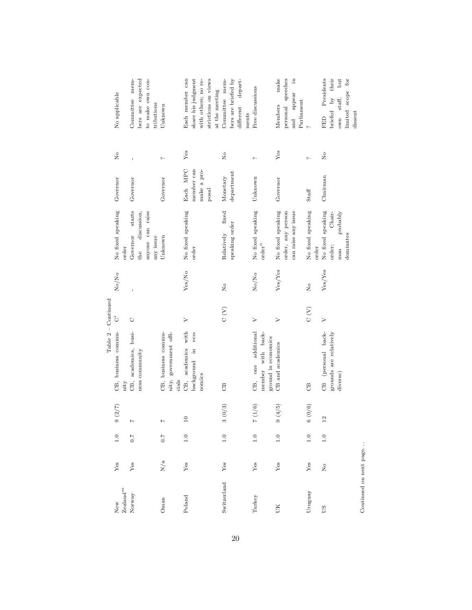|                                            |                                       |         |                 | $Table 2 - Continue$                     |                  |                |                            |             |               |                          |  |
|--------------------------------------------|---------------------------------------|---------|-----------------|------------------------------------------|------------------|----------------|----------------------------|-------------|---------------|--------------------------|--|
| New                                        | ${\rm Yes}$                           | $1.0\,$ | $(2/7)$         | CB, business commu-                      | Ö                | No/No          | No fixed speaking          | Governor    | $\frac{1}{2}$ | No applicable            |  |
| $\mathbf{Z}\mathbf{e}\mathbf{a}$ land $^m$ |                                       |         |                 | nity                                     |                  |                | order                      |             |               |                          |  |
| Norway                                     | $\mathbf{Yes}$                        | $7.0$   |                 | CB, academics, busi-                     | Ò                | $\overline{1}$ | starts<br>Governor         | Governor    | $\mathbf{I}$  | Committee mem-           |  |
|                                            |                                       |         |                 | ness community                           |                  |                | discussion.<br>the         |             |               | bers are expected        |  |
|                                            |                                       |         |                 |                                          |                  |                | anyone can raise           |             |               | to make own con-         |  |
|                                            |                                       |         |                 |                                          |                  |                | any issue                  |             |               | tributions               |  |
| Oman                                       | $\rm N/a$                             | $7.0\,$ |                 | CB, business commu-                      |                  |                | Unknown                    | Governor    | ç.,           | Unknown                  |  |
|                                            |                                       |         |                 | nity, government offi-<br>cials          |                  |                |                            |             |               |                          |  |
| busloc                                     | ${\rm Yes}$                           | 1.0     | $\overline{10}$ | CB, academics with                       | $\triangleright$ | Yes/No         | No fixed speaking          | Each MPC    | Yes           | Each member can          |  |
|                                            |                                       |         |                 | $eco-$<br>$\Xi$<br>background            |                  |                | order                      | member can  |               | share his judgment       |  |
|                                            |                                       |         |                 | nomics                                   |                  |                |                            | make a pro- |               | with others; no re-      |  |
|                                            |                                       |         |                 |                                          |                  |                |                            | posal       |               | strictions on views      |  |
|                                            |                                       |         |                 |                                          |                  |                |                            |             |               | at the meeting           |  |
| Switzerland                                | ${\rm Yes}$                           | $1.0\,$ | (0/3)<br>m      | B                                        | $\sum_{i=1}^{n}$ | $\tilde{z}$    | fixed<br>Relatively        | Monetary    | $\frac{1}{2}$ | Committee mem-           |  |
|                                            |                                       |         |                 |                                          |                  |                | speaking order             | department  |               | bers are briefed by      |  |
|                                            |                                       |         |                 |                                          |                  |                |                            |             |               | depart-<br>different     |  |
|                                            |                                       |         |                 |                                          |                  |                |                            |             |               | ments                    |  |
| Turkey                                     | Yes                                   | 1.0     | (1/6)           | CB, one additional                       | >                | No/No          | No fixed speaking          | Unknown     | ς.            | Free discussions         |  |
|                                            |                                       |         |                 | member with back-<br>ground in economics |                  |                | $\operatorname{order}^n$   |             |               |                          |  |
| UК                                         | $\rm Yes$                             | $1.0\,$ | (4/5)<br>G      | CB and academics                         | $\triangleright$ | Yes/Yes        | No fixed speaking          | Governor    | Yes           | make<br>Members          |  |
|                                            |                                       |         |                 |                                          |                  |                | order, any person          |             |               | personal speeches        |  |
|                                            |                                       |         |                 |                                          |                  |                | can raise any issue        |             |               | $\ddot{=}$<br>and appear |  |
|                                            |                                       |         |                 |                                          |                  |                |                            |             |               | Parliament               |  |
| Jruguay                                    | ${\rm Yes}$                           | $1.0\,$ | (0/6)           | B                                        | $\sum_{i=1}^{n}$ | $\overline{R}$ | No fixed speaking<br>order | Staff       | c.            | $\sim$                   |  |
| <b>SQ</b>                                  | $\stackrel{\circ}{\phantom{}_{\sim}}$ | $1.0\,$ | 2               | CB (personal back-                       | $\triangleright$ | Yes/Yes        | No fixed speaking          | Chairman    | $\frac{1}{2}$ | Presidents<br>FED        |  |
|                                            |                                       |         |                 | grounds are relatively                   |                  |                | Chair-<br>order;           |             |               | their<br>briefed by      |  |
|                                            |                                       |         |                 | diverse)                                 |                  |                | probably<br>man            |             |               | but<br>own staff,        |  |
|                                            |                                       |         |                 |                                          |                  |                | dominates                  |             |               | limited scope for        |  |
|                                            |                                       |         |                 |                                          |                  |                |                            |             |               | dissent                  |  |

20

Continued on next page. . .

Continued on next page.  $\ldots$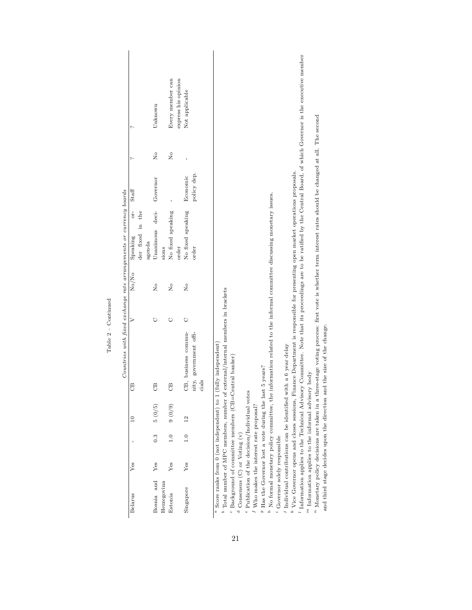|                                                                    |                                                            | Unknown                   | express his opinion<br>Every member can | Not applicable                                           | Information applies to the Technical Advisory Committee. Note that its proceedings are to be ratified by the Central Board, of which Governor is the executive member                                                                                                                                                                                                                                                                                                                                   |                                                                       |
|--------------------------------------------------------------------|------------------------------------------------------------|---------------------------|-----------------------------------------|----------------------------------------------------------|---------------------------------------------------------------------------------------------------------------------------------------------------------------------------------------------------------------------------------------------------------------------------------------------------------------------------------------------------------------------------------------------------------------------------------------------------------------------------------------------------------|-----------------------------------------------------------------------|
|                                                                    | ç.                                                         | $\overline{R}$            | $\frac{1}{2}$                           |                                                          |                                                                                                                                                                                                                                                                                                                                                                                                                                                                                                         |                                                                       |
|                                                                    | Staff                                                      | Governor                  |                                         | policy dep.<br>Economic                                  |                                                                                                                                                                                                                                                                                                                                                                                                                                                                                                         |                                                                       |
|                                                                    | OI <sup>-1</sup><br>der fixed in the<br>Speaking<br>agenda | Unanimous deci-<br>sions  | No fixed speaking<br>order              | No fixed speaking<br>order                               |                                                                                                                                                                                                                                                                                                                                                                                                                                                                                                         |                                                                       |
|                                                                    | No/No                                                      | $\frac{1}{2}$             | $\mathsf{R}^{\circ}$                    | Σò                                                       |                                                                                                                                                                                                                                                                                                                                                                                                                                                                                                         |                                                                       |
| Countries with fixed exchange rate arrangements or currency boards |                                                            | O                         | O                                       | $\circ$<br>CB, business commu-<br>nity, government offi- | <sup>n</sup> Monetary policy decisions are taken in a three-stage voting process: first vote is whether term interest rates should be changed at all. The second<br>* Vice Governor opens and closes sessions, Finance Department is responsible for presenting open market operations proposals.<br>No formal monetary policy committee, the information related to the informal committee discussing monetary issues.<br>Total number of MPC members, number of external/internal members in brackets | and third stage decides upon the direction and the size of the change |
|                                                                    | $\mathcal{B}$                                              | B                         | B                                       | cials                                                    |                                                                                                                                                                                                                                                                                                                                                                                                                                                                                                         |                                                                       |
|                                                                    |                                                            | 5(0/5)                    | $(6/0)$ 6                               | $\overline{12}$                                          |                                                                                                                                                                                                                                                                                                                                                                                                                                                                                                         |                                                                       |
|                                                                    |                                                            | $0.\overline{3}$          | $\frac{1}{1}$ .0                        | $\frac{0}{1}$                                            |                                                                                                                                                                                                                                                                                                                                                                                                                                                                                                         |                                                                       |
|                                                                    | Yes                                                        | Yes                       | Yes                                     | Yes                                                      |                                                                                                                                                                                                                                                                                                                                                                                                                                                                                                         |                                                                       |
|                                                                    | Belarus                                                    | Bosnia and<br>Herzegovina | Estonia                                 | Singapore                                                | <sup>a</sup> Score ranks from 0 (not independent) to 1 (fully independent)<br>Individual contributions can be identified with a 6 year delay<br>Background of committee members (CB=Central banker)<br>$9$ Has the Governor lost a vote during the last 5 years?<br>$m$ Information applies to the informal advisory body<br>Publication of the decision/Individual votes<br>Who makes the interest rate proposal?<br>$^d$ Consensus (C) or Voting (v)<br>Governor solely responsible                   |                                                                       |

| ı |  |
|---|--|
|   |  |

21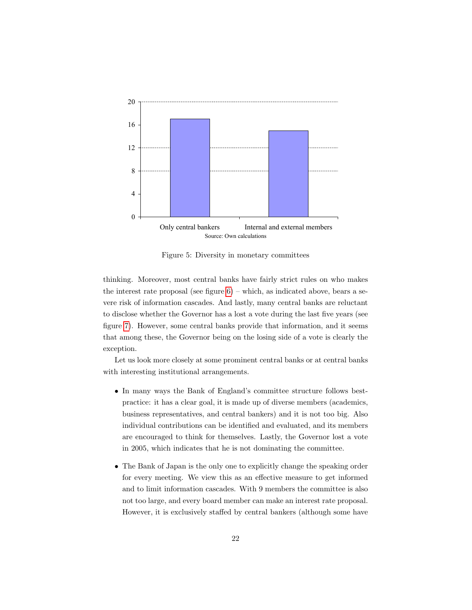

<span id="page-25-0"></span>Figure 5: Diversity in monetary committees

thinking. Moreover, most central banks have fairly strict rules on who makes the interest rate proposal (see figure  $6$ ) – which, as indicated above, bears a severe risk of information cascades. And lastly, many central banks are reluctant to disclose whether the Governor has a lost a vote during the last five years (see figure [7\)](#page-26-0). However, some central banks provide that information, and it seems that among these, the Governor being on the losing side of a vote is clearly the exception.

Let us look more closely at some prominent central banks or at central banks with interesting institutional arrangements.

- In many ways the Bank of England's committee structure follows bestpractice: it has a clear goal, it is made up of diverse members (academics, business representatives, and central bankers) and it is not too big. Also individual contributions can be identified and evaluated, and its members are encouraged to think for themselves. Lastly, the Governor lost a vote in 2005, which indicates that he is not dominating the committee.
- The Bank of Japan is the only one to explicitly change the speaking order for every meeting. We view this as an effective measure to get informed and to limit information cascades. With 9 members the committee is also not too large, and every board member can make an interest rate proposal. However, it is exclusively staffed by central bankers (although some have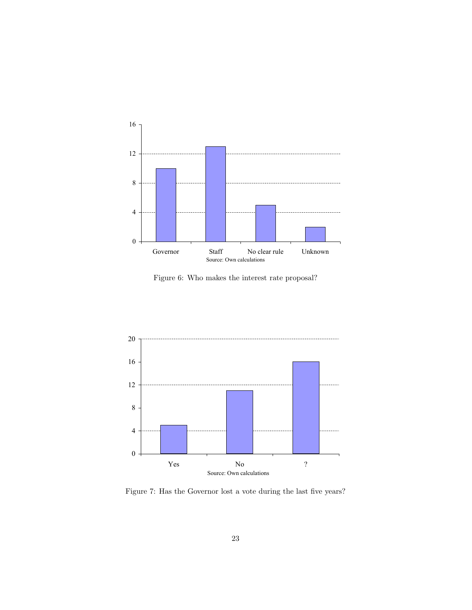

<span id="page-26-1"></span>Figure 6: Who makes the interest rate proposal?



<span id="page-26-0"></span>Figure 7: Has the Governor lost a vote during the last five years?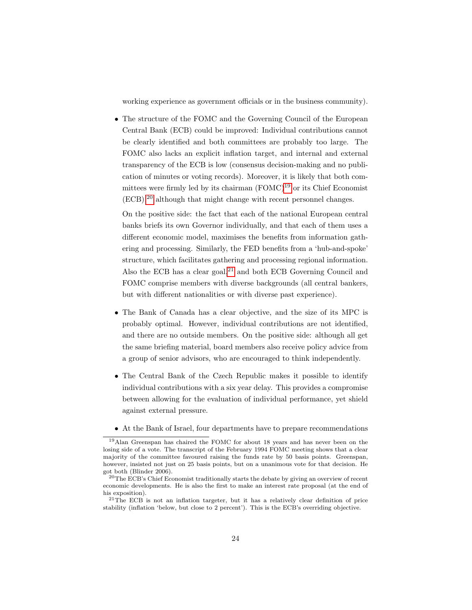working experience as government officials or in the business community).

• The structure of the FOMC and the Governing Council of the European Central Bank (ECB) could be improved: Individual contributions cannot be clearly identified and both committees are probably too large. The FOMC also lacks an explicit inflation target, and internal and external transparency of the ECB is low (consensus decision-making and no publication of minutes or voting records). Moreover, it is likely that both committees were firmly led by its chairman  $(FOMC)^{19}$  $(FOMC)^{19}$  $(FOMC)^{19}$  or its Chief Economist (ECB),[20](#page-27-1) although that might change with recent personnel changes.

On the positive side: the fact that each of the national European central banks briefs its own Governor individually, and that each of them uses a different economic model, maximises the benefits from information gathering and processing. Similarly, the FED benefits from a 'hub-and-spoke' structure, which facilitates gathering and processing regional information. Also the ECB has a clear goal, $2<sup>1</sup>$  and both ECB Governing Council and FOMC comprise members with diverse backgrounds (all central bankers, but with different nationalities or with diverse past experience).

- The Bank of Canada has a clear objective, and the size of its MPC is probably optimal. However, individual contributions are not identified, and there are no outside members. On the positive side: although all get the same briefing material, board members also receive policy advice from a group of senior advisors, who are encouraged to think independently.
- The Central Bank of the Czech Republic makes it possible to identify individual contributions with a six year delay. This provides a compromise between allowing for the evaluation of individual performance, yet shield against external pressure.
- At the Bank of Israel, four departments have to prepare recommendations

<span id="page-27-0"></span><sup>19</sup>Alan Greenspan has chaired the FOMC for about 18 years and has never been on the losing side of a vote. The transcript of the February 1994 FOMC meeting shows that a clear majority of the committee favoured raising the funds rate by 50 basis points. Greenspan, however, insisted not just on 25 basis points, but on a unanimous vote for that decision. He got both (Blinder 2006).

<span id="page-27-1"></span><sup>20</sup>The ECB's Chief Economist traditionally starts the debate by giving an overview of recent economic developments. He is also the first to make an interest rate proposal (at the end of his exposition).

<span id="page-27-2"></span> $21$ The ECB is not an inflation targeter, but it has a relatively clear definition of price stability (inflation 'below, but close to 2 percent'). This is the ECB's overriding objective.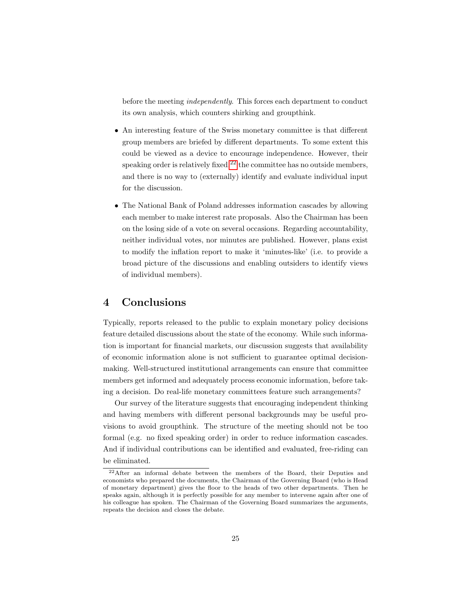before the meeting *independently*. This forces each department to conduct its own analysis, which counters shirking and groupthink.

- An interesting feature of the Swiss monetary committee is that different group members are briefed by different departments. To some extent this could be viewed as a device to encourage independence. However, their speaking order is relatively fixed,  $^{22}$  $^{22}$  $^{22}$  the committee has no outside members, and there is no way to (externally) identify and evaluate individual input for the discussion.
- The National Bank of Poland addresses information cascades by allowing each member to make interest rate proposals. Also the Chairman has been on the losing side of a vote on several occasions. Regarding accountability, neither individual votes, nor minutes are published. However, plans exist to modify the inflation report to make it 'minutes-like' (i.e. to provide a broad picture of the discussions and enabling outsiders to identify views of individual members).

## 4 Conclusions

Typically, reports released to the public to explain monetary policy decisions feature detailed discussions about the state of the economy. While such information is important for financial markets, our discussion suggests that availability of economic information alone is not sufficient to guarantee optimal decisionmaking. Well-structured institutional arrangements can ensure that committee members get informed and adequately process economic information, before taking a decision. Do real-life monetary committees feature such arrangements?

Our survey of the literature suggests that encouraging independent thinking and having members with different personal backgrounds may be useful provisions to avoid groupthink. The structure of the meeting should not be too formal (e.g. no fixed speaking order) in order to reduce information cascades. And if individual contributions can be identified and evaluated, free-riding can be eliminated.

<span id="page-28-0"></span><sup>22</sup>After an informal debate between the members of the Board, their Deputies and economists who prepared the documents, the Chairman of the Governing Board (who is Head of monetary department) gives the floor to the heads of two other departments. Then he speaks again, although it is perfectly possible for any member to intervene again after one of his colleague has spoken. The Chairman of the Governing Board summarizes the arguments, repeats the decision and closes the debate.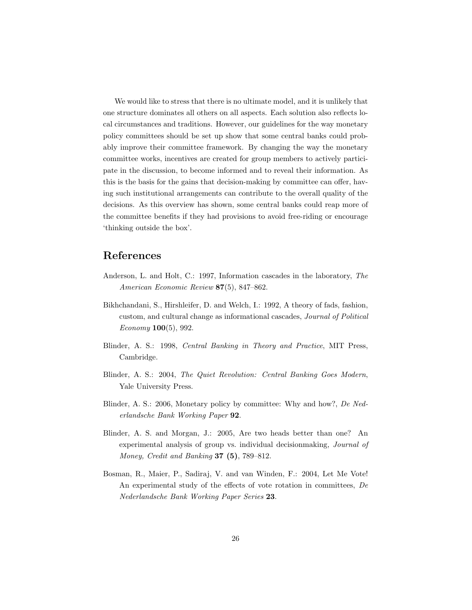We would like to stress that there is no ultimate model, and it is unlikely that one structure dominates all others on all aspects. Each solution also reflects local circumstances and traditions. However, our guidelines for the way monetary policy committees should be set up show that some central banks could probably improve their committee framework. By changing the way the monetary committee works, incentives are created for group members to actively participate in the discussion, to become informed and to reveal their information. As this is the basis for the gains that decision-making by committee can offer, having such institutional arrangements can contribute to the overall quality of the decisions. As this overview has shown, some central banks could reap more of the committee benefits if they had provisions to avoid free-riding or encourage 'thinking outside the box'.

# References

- Anderson, L. and Holt, C.: 1997, Information cascades in the laboratory, The American Economic Review 87(5), 847–862.
- Bikhchandani, S., Hirshleifer, D. and Welch, I.: 1992, A theory of fads, fashion, custom, and cultural change as informational cascades, Journal of Political  $Economy 100(5), 992.$
- Blinder, A. S.: 1998, Central Banking in Theory and Practice, MIT Press, Cambridge.
- Blinder, A. S.: 2004, The Quiet Revolution: Central Banking Goes Modern, Yale University Press.
- Blinder, A. S.: 2006, Monetary policy by committee: Why and how?, De Nederlandsche Bank Working Paper 92.
- Blinder, A. S. and Morgan, J.: 2005, Are two heads better than one? An experimental analysis of group vs. individual decisionmaking, Journal of Money, Credit and Banking  $37$  (5), 789–812.
- Bosman, R., Maier, P., Sadiraj, V. and van Winden, F.: 2004, Let Me Vote! An experimental study of the effects of vote rotation in committees,  $De$ Nederlandsche Bank Working Paper Series 23.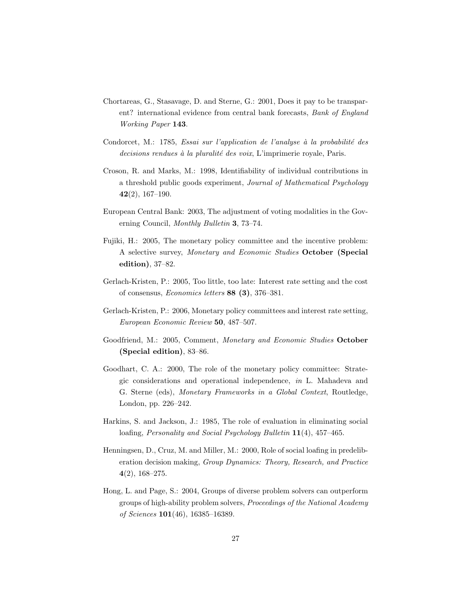- Chortareas, G., Stasavage, D. and Sterne, G.: 2001, Does it pay to be transparent? international evidence from central bank forecasts, Bank of England Working Paper 143.
- Condorcet, M.: 1785, Essai sur l'application de l'analyse à la probabilité des  $decisions$  rendues à la pluralité des voix, L'imprimerie royale, Paris.
- Croson, R. and Marks, M.: 1998, Identifiability of individual contributions in a threshold public goods experiment, *Journal of Mathematical Psychology*  $42(2), 167-190.$
- European Central Bank: 2003, The adjustment of voting modalities in the Governing Council, Monthly Bulletin 3, 73–74.
- Fujiki, H.: 2005, The monetary policy committee and the incentive problem: A selective survey, Monetary and Economic Studies October (Special edition), 37–82.
- Gerlach-Kristen, P.: 2005, Too little, too late: Interest rate setting and the cost of consensus, Economics letters 88 (3), 376–381.
- Gerlach-Kristen, P.: 2006, Monetary policy committees and interest rate setting, European Economic Review 50, 487–507.
- Goodfriend, M.: 2005, Comment, Monetary and Economic Studies October (Special edition), 83–86.
- Goodhart, C. A.: 2000, The role of the monetary policy committee: Strategic considerations and operational independence, in L. Mahadeva and G. Sterne (eds), Monetary Frameworks in a Global Context, Routledge, London, pp. 226–242.
- Harkins, S. and Jackson, J.: 1985, The role of evaluation in eliminating social loafing, *Personality and Social Psychology Bulletin* 11(4), 457–465.
- Henningsen, D., Cruz, M. and Miller, M.: 2000, Role of social loafing in predeliberation decision making, Group Dynamics: Theory, Research, and Practice  $4(2)$ , 168-275.
- Hong, L. and Page, S.: 2004, Groups of diverse problem solvers can outperform groups of high-ability problem solvers, Proceedings of the National Academy of Sciences 101(46), 16385–16389.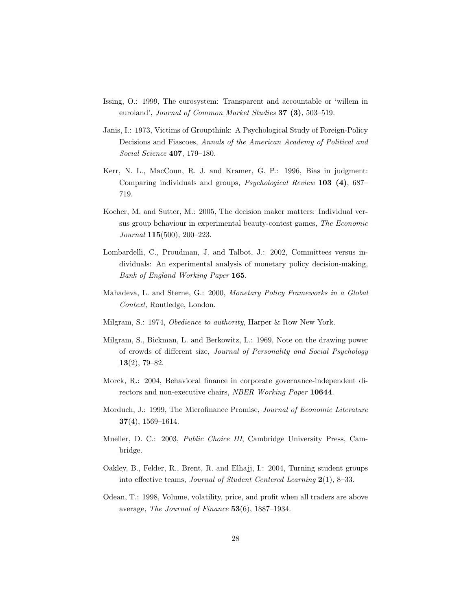- Issing, O.: 1999, The eurosystem: Transparent and accountable or 'willem in euroland', Journal of Common Market Studies  $37$   $(3)$ , 503-519.
- Janis, I.: 1973, Victims of Groupthink: A Psychological Study of Foreign-Policy Decisions and Fiascoes, Annals of the American Academy of Political and Social Science 407, 179–180.
- Kerr, N. L., MacCoun, R. J. and Kramer, G. P.: 1996, Bias in judgment: Comparing individuals and groups, *Psychological Review* 103 (4), 687– 719.
- Kocher, M. and Sutter, M.: 2005, The decision maker matters: Individual versus group behaviour in experimental beauty-contest games, The Economic Journal 115(500), 200–223.
- Lombardelli, C., Proudman, J. and Talbot, J.: 2002, Committees versus individuals: An experimental analysis of monetary policy decision-making, Bank of England Working Paper 165.
- Mahadeva, L. and Sterne, G.: 2000, Monetary Policy Frameworks in a Global Context, Routledge, London.
- Milgram, S.: 1974, Obedience to authority, Harper & Row New York.
- Milgram, S., Bickman, L. and Berkowitz, L.: 1969, Note on the drawing power of crowds of different size, Journal of Personality and Social Psychology 13(2), 79–82.
- Morck, R.: 2004, Behavioral finance in corporate governance-independent directors and non-executive chairs, NBER Working Paper 10644.
- Morduch, J.: 1999, The Microfinance Promise, Journal of Economic Literature  $37(4)$ , 1569–1614.
- Mueller, D. C.: 2003, Public Choice III, Cambridge University Press, Cambridge.
- Oakley, B., Felder, R., Brent, R. and Elhajj, I.: 2004, Turning student groups into effective teams, Journal of Student Centered Learning 2(1), 8–33.
- Odean, T.: 1998, Volume, volatility, price, and profit when all traders are above average, The Journal of Finance 53(6), 1887–1934.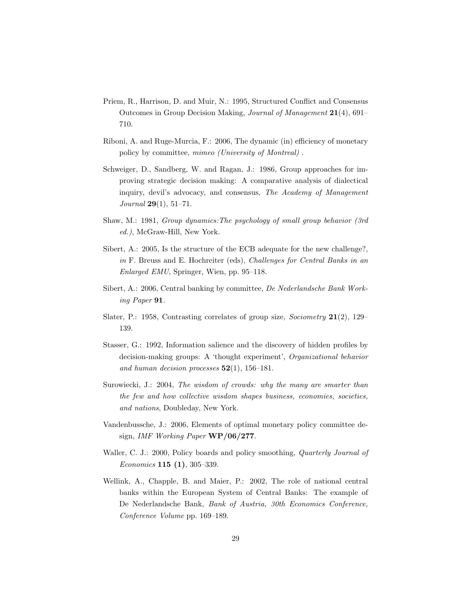- Priem, R., Harrison, D. and Muir, N.: 1995, Structured Conflict and Consensus Outcomes in Group Decision Making, Journal of Management 21(4), 691– 710.
- Riboni, A. and Ruge-Murcia, F.: 2006, The dynamic (in) efficiency of monetary policy by committee, mimeo (University of Montreal) .
- Schweiger, D., Sandberg, W. and Ragan, J.: 1986, Group approaches for improving strategic decision making: A comparative analysis of dialectical inquiry, devil's advocacy, and consensus, The Academy of Management Journal 29(1), 51–71.
- Shaw, M.: 1981, Group dynamics:The psychology of small group behavior (3rd ed.), McGraw-Hill, New York.
- Sibert, A.: 2005, Is the structure of the ECB adequate for the new challenge?, in F. Breuss and E. Hochreiter (eds), Challenges for Central Banks in an Enlarged EMU, Springer, Wien, pp. 95–118.
- Sibert, A.: 2006, Central banking by committee, De Nederlandsche Bank Working Paper 91.
- Slater, P.: 1958, Contrasting correlates of group size, *Sociometry*  $21(2)$ , 129– 139.
- Stasser, G.: 1992, Information salience and the discovery of hidden profiles by decision-making groups: A 'thought experiment', Organizational behavior and human decision processes  $52(1)$ , 156-181.
- Surowiecki, J.: 2004, The wisdom of crowds: why the many are smarter than the few and how collective wisdom shapes business, economies, societies, and nations, Doubleday, New York.
- Vandenbussche, J.: 2006, Elements of optimal monetary policy committee design, IMF Working Paper WP/06/277.
- Waller, C. J.: 2000, Policy boards and policy smoothing, *Quarterly Journal of* Economics 115 (1), 305–339.
- Wellink, A., Chapple, B. and Maier, P.: 2002, The role of national central banks within the European System of Central Banks: The example of De Nederlandsche Bank, Bank of Austria, 30th Economics Conference, Conference Volume pp. 169–189.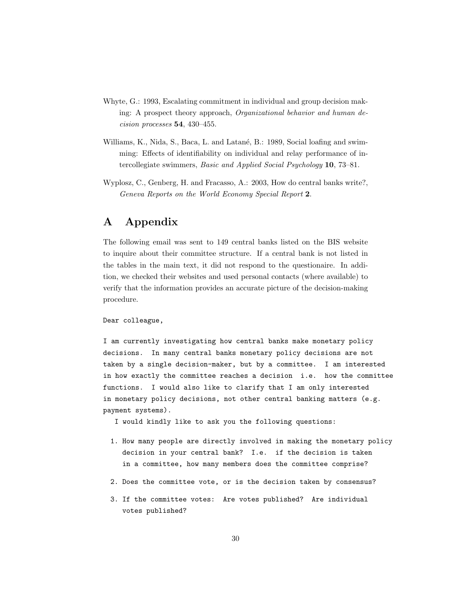- Whyte, G.: 1993, Escalating commitment in individual and group decision making: A prospect theory approach, Organizational behavior and human decision processes 54, 430–455.
- Williams, K., Nida, S., Baca, L. and Latané, B.: 1989, Social loafing and swimming: Effects of identifiability on individual and relay performance of intercollegiate swimmers, Basic and Applied Social Psychology 10, 73–81.
- Wyplosz, C., Genberg, H. and Fracasso, A.: 2003, How do central banks write?, Geneva Reports on the World Economy Special Report 2.

# A Appendix

The following email was sent to 149 central banks listed on the BIS website to inquire about their committee structure. If a central bank is not listed in the tables in the main text, it did not respond to the questionaire. In addition, we checked their websites and used personal contacts (where available) to verify that the information provides an accurate picture of the decision-making procedure.

Dear colleague,

I am currently investigating how central banks make monetary policy decisions. In many central banks monetary policy decisions are not taken by a single decision-maker, but by a committee. I am interested in how exactly the committee reaches a decision i.e. how the committee functions. I would also like to clarify that I am only interested in monetary policy decisions, not other central banking matters (e.g. payment systems).

I would kindly like to ask you the following questions:

- 1. How many people are directly involved in making the monetary policy decision in your central bank? I.e. if the decision is taken in a committee, how many members does the committee comprise?
- 2. Does the committee vote, or is the decision taken by consensus?
- 3. If the committee votes: Are votes published? Are individual votes published?